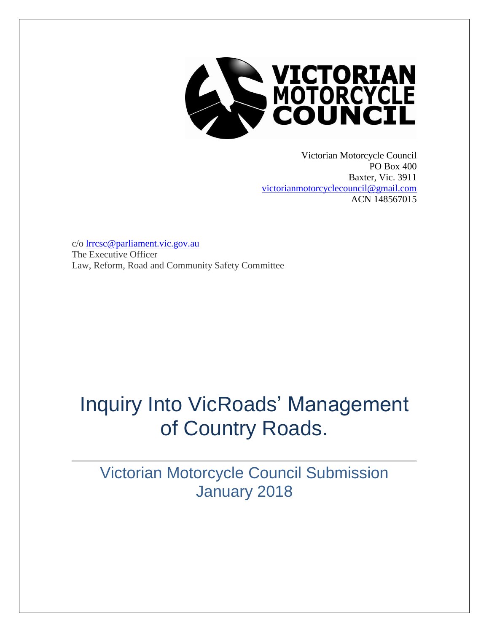

Victorian Motorcycle Council PO Box 400 Baxter, Vic. 3911 [victorianmotorcyclecouncil@gmail.com](mailto:victorianmotorcyclecouncil@gmail.com) ACN 148567015

c/o [lrrcsc@parliament.vic.gov.au](mailto:lrrcsc@parliament.vic.gov.au) The Executive Officer Law, Reform, Road and Community Safety Committee

# Inquiry Into VicRoads' Management of Country Roads.

Victorian Motorcycle Council Submission January 2018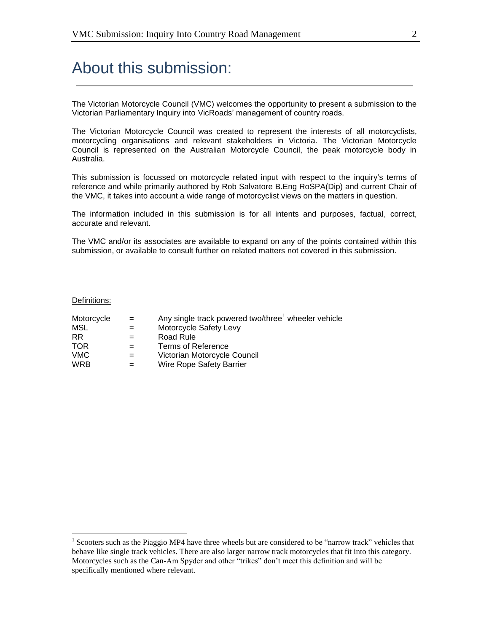## About this submission:

The Victorian Motorcycle Council (VMC) welcomes the opportunity to present a submission to the Victorian Parliamentary Inquiry into VicRoads' management of country roads.

The Victorian Motorcycle Council was created to represent the interests of all motorcyclists, motorcycling organisations and relevant stakeholders in Victoria. The Victorian Motorcycle Council is represented on the Australian Motorcycle Council, the peak motorcycle body in Australia.

This submission is focussed on motorcycle related input with respect to the inquiry's terms of reference and while primarily authored by Rob Salvatore B.Eng RoSPA(Dip) and current Chair of the VMC, it takes into account a wide range of motorcyclist views on the matters in question.

The information included in this submission is for all intents and purposes, factual, correct, accurate and relevant.

The VMC and/or its associates are available to expand on any of the points contained within this submission, or available to consult further on related matters not covered in this submission.

#### Definitions:

| Motorcycle | $=$ | Any single track powered two/three <sup>1</sup> wheeler vehicle |
|------------|-----|-----------------------------------------------------------------|
| MSL        | $=$ | Motorcycle Safety Levy                                          |
| <b>RR</b>  |     | Road Rule                                                       |
| <b>TOR</b> | $=$ | <b>Terms of Reference</b>                                       |
| <b>VMC</b> |     | Victorian Motorcycle Council                                    |
| <b>WRB</b> |     | Wire Rope Safety Barrier                                        |

<sup>&</sup>lt;sup>1</sup> Scooters such as the Piaggio MP4 have three wheels but are considered to be "narrow track" vehicles that behave like single track vehicles. There are also larger narrow track motorcycles that fit into this category. Motorcycles such as the Can-Am Spyder and other "trikes" don't meet this definition and will be specifically mentioned where relevant.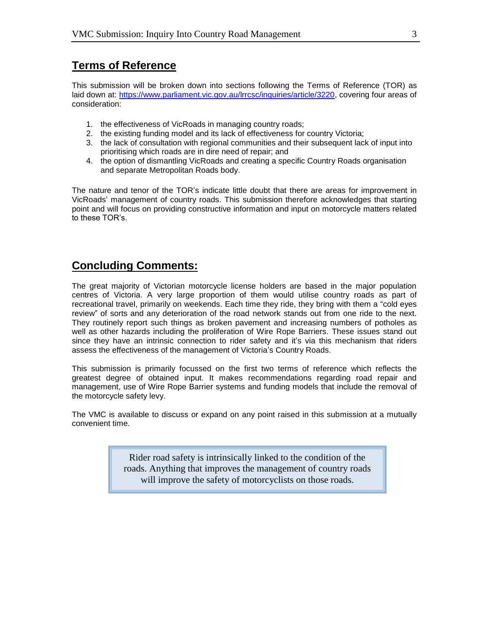#### **Terms of Reference**

This submission will be broken down into sections following the Terms of Reference (TOR) as laid down at: [https://www.parliament.vic.gov.au/lrrcsc/inquiries/article/3220,](https://www.parliament.vic.gov.au/lrrcsc/inquiries/article/3220) covering four areas of consideration:

- 1. the effectiveness of VicRoads in managing country roads;
- 2. the existing funding model and its lack of effectiveness for country Victoria;
- 3. the lack of consultation with regional communities and their subsequent lack of input into prioritising which roads are in dire need of repair; and
- 4. the option of dismantling VicRoads and creating a specific Country Roads organisation and separate Metropolitan Roads body.

The nature and tenor of the TOR's indicate little doubt that there are areas for improvement in VicRoads' management of country roads. This submission therefore acknowledges that starting point and will focus on providing constructive information and input on motorcycle matters related to these TOR's.

#### **Concluding Comments:**

The great majority of Victorian motorcycle license holders are based in the major population centres of Victoria. A very large proportion of them would utilise country roads as part of recreational travel, primarily on weekends. Each time they ride, they bring with them a "cold eyes review" of sorts and any deterioration of the road network stands out from one ride to the next. They routinely report such things as broken pavement and increasing numbers of potholes as well as other hazards including the proliferation of Wire Rope Barriers. These issues stand out since they have an intrinsic connection to rider safety and it's via this mechanism that riders assess the effectiveness of the management of Victoria's Country Roads.

This submission is primarily focussed on the first two terms of reference which reflects the greatest degree of obtained input. It makes recommendations regarding road repair and management, use of Wire Rope Barrier systems and funding models that include the removal of the motorcycle safety levy.

The VMC is available to discuss or expand on any point raised in this submission at a mutually convenient time.

> Rider road safety is intrinsically linked to the condition of the roads. Anything that improves the management of country roads will improve the safety of motorcyclists on those roads.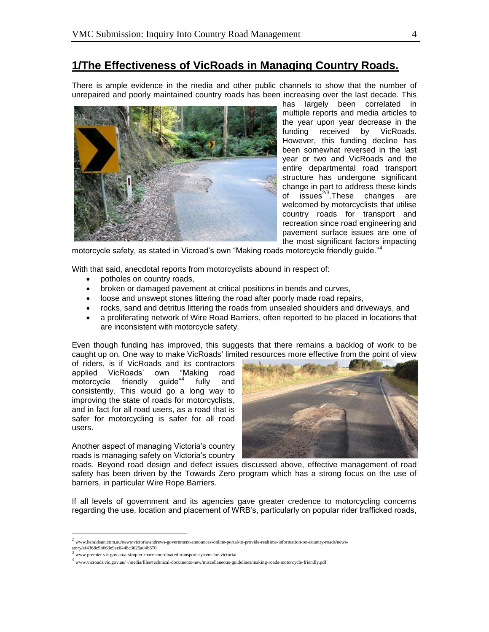#### **1/The Effectiveness of VicRoads in Managing Country Roads.**

There is ample evidence in the media and other public channels to show that the number of unrepaired and poorly maintained country roads has been increasing over the last decade. This



has largely been correlated in multiple reports and media articles to the year upon year decrease in the funding received by VicRoads. However, this funding decline has been somewhat reversed in the last year or two and VicRoads and the entire departmental road transport structure has undergone significant change in part to address these kinds of  $isue's^{2/3}$ . These changes are welcomed by motorcyclists that utilise country roads for transport and recreation since road engineering and pavement surface issues are one of the most significant factors impacting

motorcycle safety, as stated in Vicroad's own "Making roads motorcycle friendly guide."<sup>4</sup>

With that said, anecdotal reports from motorcyclists abound in respect of:

- potholes on country roads,
- broken or damaged pavement at critical positions in bends and curves,
- loose and unswept stones littering the road after poorly made road repairs,
- rocks, sand and detritus littering the roads from unsealed shoulders and driveways, and
- a proliferating network of Wire Road Barriers, often reported to be placed in locations that are inconsistent with motorcycle safety.

Even though funding has improved, this suggests that there remains a backlog of work to be caught up on. One way to make VicRoads' limited resources more effective from the point of view

of riders, is if VicRoads and its contractors applied VicRoads' own "Making road motorcycle friendly guide"<sup>4</sup> fully and consistently. This would go a long way to improving the state of roads for motorcyclists, and in fact for all road users, as a road that is safer for motorcycling is safer for all road users.

Another aspect of managing Victoria's country roads is managing safety on Victoria's country



roads. Beyond road design and defect issues discussed above, effective management of road safety has been driven by the Towards Zero program which has a strong focus on the use of barriers, in particular Wire Rope Barriers.

If all levels of government and its agencies gave greater credence to motorcycling concerns regarding the use, location and placement of WRB's, particularly on popular rider trafficked roads,

<sup>2</sup> www.heraldsun.com.au/news/victoria/andrews-government-announces-online-portal-to-provide-realtime-information-on-country-roads/news-

story/ef4368c9b663e9ee0448c3625ad4b670

<sup>3</sup> www.premier.vic.gov.au/a-simpler-more-coordinated-transport-system-for-victoria/

<sup>4</sup> www.vicroads.vic.gov.au/~/media/files/technical-documents-new/miscellaneous-guidelines/making-roads-motorcycle-friendly.pdf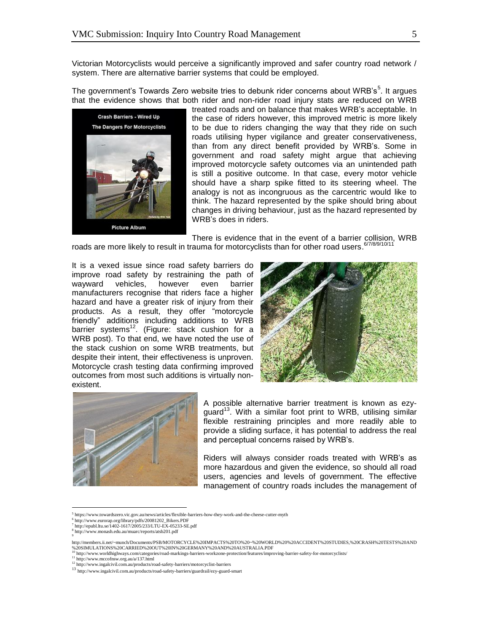Victorian Motorcyclists would perceive a significantly improved and safer country road network / system. There are alternative barrier systems that could be employed.

The government's Towards Zero website tries to debunk rider concerns about WRB's<sup>5</sup>. It argues that the evidence shows that both rider and non-rider road injury stats are reduced on WRB



treated roads and on balance that makes WRB's acceptable. In the case of riders however, this improved metric is more likely to be due to riders changing the way that they ride on such roads utilising hyper vigilance and greater conservativeness, than from any direct benefit provided by WRB's. Some in government and road safety might argue that achieving improved motorcycle safety outcomes via an unintended path is still a positive outcome. In that case, every motor vehicle should have a sharp spike fitted to its steering wheel. The analogy is not as incongruous as the carcentric would like to think. The hazard represented by the spike should bring about changes in driving behaviour, just as the hazard represented by WRB's does in riders.

There is evidence that in the event of a barrier collision, WRB roads are more likely to result in trauma for motorcyclists than for other road users. <sup>6778/9/10/11</sup>

It is a vexed issue since road safety barriers do improve road safety by restraining the path of wayward vehicles, however even barrier manufacturers recognise that riders face a higher hazard and have a greater risk of injury from their products. As a result, they offer "motorcycle friendly" additions including additions to WRB barrier systems<sup>12</sup>. (Figure: stack cushion for a WRB post). To that end, we have noted the use of the stack cushion on some WRB treatments, but despite their intent, their effectiveness is unproven. Motorcycle crash testing data confirming improved outcomes from most such additions is virtually nonexistent.





A possible alternative barrier treatment is known as ezyguard<sup>13</sup>. With a similar foot print to WRB, utilising similar flexible restraining principles and more readily able to provide a sliding surface, it has potential to address the real and perceptual concerns raised by WRB's.

Riders will always consider roads treated with WRB's as more hazardous and given the evidence, so should all road users, agencies and levels of government. The effective management of country roads includes the management of

<sup>11</sup> http://www.mccofnsw.org.au/a/137.html

<sup>5</sup> https://www.towardszero.vic.gov.au/news/articles/flexible-barriers-how-they-work-and-the-cheese-cutter-myth

<sup>&</sup>lt;sup>6</sup> http://www.eurorap.org/library/pdfs/20081202\_Bikers.PDF<br><sup>7</sup> http://epubl.ltu.se/1402-1617/2005/233/LTU-EX-05233-SE.pdf

<sup>8</sup> http://www.monash.edu.au/muarc/reports/atsb201.pdf

<sup>9</sup>

http://members.ii.net/~munch/Documents/PSB/MOTORCYCLE%20IMPACTS%20TO%20~%20WORLD%20%20ACCIDENT%20STUDIES,%20CRASH%20TESTS%20AND %20SIMULATIONS%20CARRIED%20OUT%20IN%20GERMANY%20AND%20AUSTRALIA.PDF<br><sup>10</sup> http://www.worldhighways.com/categories/road-markings-barriers-workzone-protection/features/improving-barrier-safety-for-motorcyclists/

<sup>12</sup> http://www.ingalcivil.com.au/products/road-safety-barriers/motorcyclist-barriers

<sup>13</sup> http://www.ingalcivil.com.au/products/road-safety-barriers/guardrail/ezy-guard-smart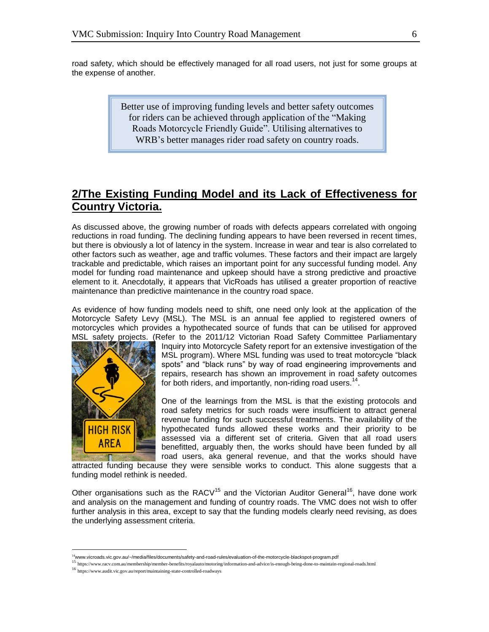road safety, which should be effectively managed for all road users, not just for some groups at the expense of another.

> Better use of improving funding levels and better safety outcomes for riders can be achieved through application of the "Making Roads Motorcycle Friendly Guide". Utilising alternatives to WRB's better manages rider road safety on country roads.

#### **2/The Existing Funding Model and its Lack of Effectiveness for Country Victoria.**

As discussed above, the growing number of roads with defects appears correlated with ongoing reductions in road funding. The declining funding appears to have been reversed in recent times, but there is obviously a lot of latency in the system. Increase in wear and tear is also correlated to other factors such as weather, age and traffic volumes. These factors and their impact are largely trackable and predictable, which raises an important point for any successful funding model. Any model for funding road maintenance and upkeep should have a strong predictive and proactive element to it. Anecdotally, it appears that VicRoads has utilised a greater proportion of reactive maintenance than predictive maintenance in the country road space.

As evidence of how funding models need to shift, one need only look at the application of the Motorcycle Safety Levy (MSL). The MSL is an annual fee applied to registered owners of motorcycles which provides a hypothecated source of funds that can be utilised for approved MSL safety projects. (Refer to the 2011/12 Victorian Road Safety Committee Parliamentary



 $\overline{a}$ 

Inquiry into Motorcycle Safety report for an extensive investigation of the MSL program). Where MSL funding was used to treat motorcycle "black spots" and "black runs" by way of road engineering improvements and repairs, research has shown an improvement in road safety outcomes for both riders, and importantly, non-riding road users.<sup>14</sup>.

One of the learnings from the MSL is that the existing protocols and road safety metrics for such roads were insufficient to attract general revenue funding for such successful treatments. The availability of the hypothecated funds allowed these works and their priority to be assessed via a different set of criteria. Given that all road users benefitted, arguably then, the works should have been funded by all road users, aka general revenue, and that the works should have

attracted funding because they were sensible works to conduct. This alone suggests that a funding model rethink is needed.

Other organisations such as the  $RACV^{15}$  and the Victorian Auditor General<sup>16</sup>, have done work and analysis on the management and funding of country roads. The VMC does not wish to offer further analysis in this area, except to say that the funding models clearly need revising, as does the underlying assessment criteria.

<sup>&</sup>lt;sup>14</sup>www.vicroads.vic.gov.au/~/media/files/documents/safety-and-road-rules/evaluation-of-the-motorcycle-blackspot-program.pdf

<sup>15</sup> https://www.racv.com.au/membership/member-benefits/royalauto/motoring/information-and-advice/is-enough-being-done-to-maintain-regional-roads.html

<sup>16</sup> https://www.audit.vic.gov.au/report/maintaining-state-controlled-roadways